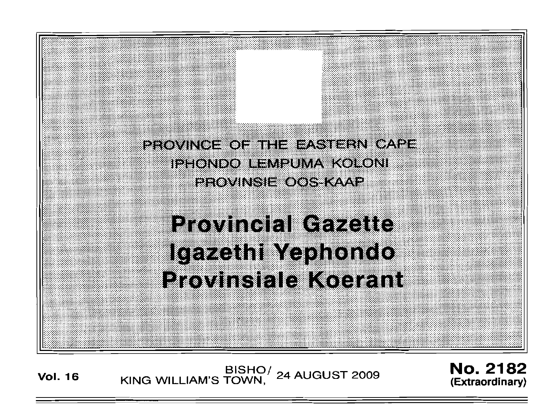

**Vol. <sup>16</sup>** BISHO/ KING WILLIAM'S TOWN , 24 AUGUST 2009

No. 2182 **(Extraordinary)**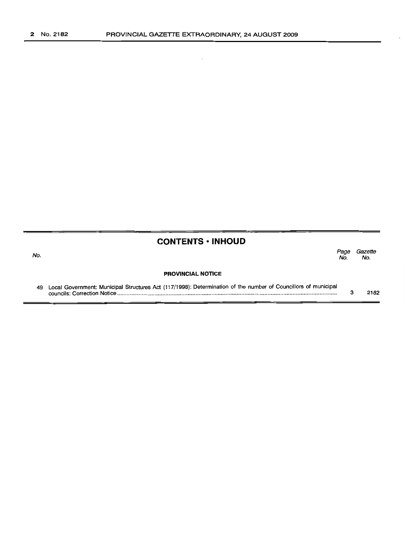No.

 $\cdot$ 

## **CONTENTS • INHOUD**

*Page Gazette* No. No.

#### **PROVINCIAL NOTICE**

| 49 Local Government: Municipal Structures Act (117/1998): Determination of the number of Councillors of municipal |      |
|-------------------------------------------------------------------------------------------------------------------|------|
|                                                                                                                   | 2182 |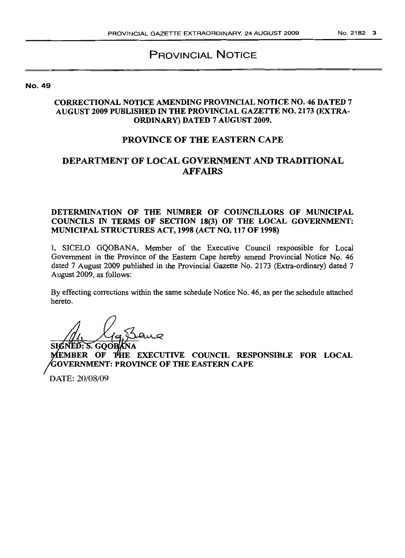# PROVINCIAL NOTICE

No. 49

#### CORRECTIONAL NOTICE AMENDING PROVINCIAL NOTICE NO. 46 DATED 7 AUGUST 2009 PUBLISHED IN THE PROVINCIAL GAZETTE NO. 2173 (EXTRA-ORDINARY) DATED 7 AUGUST 2009.

### PROVINCE OF THE EASTERN CAPE

# DEPARTMENT OF LOCAL GOVERNMENT AND TRADITIONAL AFFAIRS

DETERMINATION OF THE NUMBER OF COUNCILLORS OF MUNICIPAL COUNCILS IN TERMS OF SECTION 18(3) OF THE LOCAL GOVERNMENT: MUNICIPAL STRUCTURES ACT, 1998 (ACT NO. 117 OF 1998)

I, SICELO GQOBANA, Member of the Executive Council responsible for Local Government in" the Province of the Eastern Cape hereby amend Provincial Notice No. 46 dated 7 August 2009 published in the Provincial Gazette No. 2173 (Extra-ordinary) dated 7 August 2009, as follows:

By effecting corrections within the same schedule Notice No. 46, as per the schedule attached hereto.

SIGI . GOOE

MEMBER OF THE EXECUTIVE COUNCIL RESPONSIBLE FOR LOCAL **'GOVERNMENT: PROVINCE OF THE EASTERN CAPE** 

DATE: 20/08/09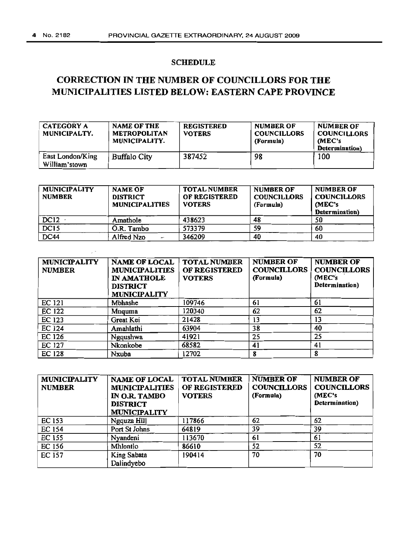# **SCHEDULE**

# **CORRECTION IN THE NUMBER OF COUNCILLORS FOR THE** MUNICIPALITIES LISTED BELOW: EASTERN CAPE PROVINCE

| CATEGORY A<br>MUNICIPALTY.        | <b>NAME OF THE</b><br><b>METROPOLITAN</b><br>MUNICIPALITY. | <b>REGISTERED</b><br><b>VOTERS</b> | NUMBER OF<br><b>COUNCILLORS</b><br>(Formula) | <b>NUMBER OF</b><br><b>COUNCILLORS</b><br>(MEC's)<br>Determination) |
|-----------------------------------|------------------------------------------------------------|------------------------------------|----------------------------------------------|---------------------------------------------------------------------|
| East London/King<br>William'stown | <b>Buffalo City</b>                                        | 387452                             | 98                                           | 100                                                                 |

| <b>MUNICIPALITY</b><br><b>NUMBER</b> | <b>NAME OF</b><br><b>DISTRICT</b><br><b>MUNICIPALITIES</b> | <b>TOTAL NUMBER</b><br>OF REGISTERED<br><b>VOTERS</b> | <b>NUMBER OF</b><br><b>COUNCILLORS</b><br>(Formula) | <b>NUMBER OF</b><br><b>COUNCILLORS</b><br>(MEC's<br>Determination) |
|--------------------------------------|------------------------------------------------------------|-------------------------------------------------------|-----------------------------------------------------|--------------------------------------------------------------------|
| DC <sub>12</sub>                     | Amathole                                                   | 438623                                                | 48                                                  | 50                                                                 |
| DC <sub>15</sub>                     | O.R. Tambo                                                 | 573379                                                | 59                                                  | 60                                                                 |
| <b>DC44</b>                          | Alfred Nzo<br>-                                            | 346209                                                | 40                                                  | 40                                                                 |

| <b>MUNICIPALITY</b><br><b>NUMBER</b> | <b>NAME OF LOCAL</b><br><b>MUNICIPALITIES</b><br><b>IN AMATHOLE</b><br><b>DISTRICT</b><br><b>MUNICIPALITY</b> | <b>TOTAL NUMBER</b><br>OF REGISTERED<br><b>VOTERS</b> | <b>NUMBER OF</b><br><b>COUNCILLORS</b><br>(Formula) | <b>NUMBER OF</b><br><b>COUNCILLORS</b><br>(MEC's<br>Determination) |
|--------------------------------------|---------------------------------------------------------------------------------------------------------------|-------------------------------------------------------|-----------------------------------------------------|--------------------------------------------------------------------|
| EC 121                               | Mbhashe                                                                                                       | 109746                                                | 61                                                  | 61                                                                 |
| <b>EC 122</b>                        | Mnguma                                                                                                        | 120340                                                | 62                                                  | 62                                                                 |
| EC 123                               | Great Kei                                                                                                     | 21428                                                 | 13                                                  | 13                                                                 |
| EC 124                               | Amahlathi                                                                                                     | 63904                                                 | 38                                                  | 40                                                                 |
| EC 126                               | Ngqushwa                                                                                                      | 41921                                                 | 25                                                  | 25                                                                 |
| EC 127                               | Nkonkobe                                                                                                      | 68582                                                 | 41                                                  | 41                                                                 |
| <b>EC 128</b>                        | Nxuba                                                                                                         | 12702                                                 | 8                                                   | 8                                                                  |

| <b>MUNICIPALITY</b><br><b>NUMBER</b> | <b>NAME OF LOCAL</b><br><b>MUNICIPALITIES</b><br>IN O.R. TAMBO<br><b>DISTRICT</b><br><b>MUNICIPALITY</b> | <b>TOTAL NUMBER</b><br>OF REGISTERED<br><b>VOTERS</b> | <b>NUMBER OF</b><br><b>COUNCILLORS</b><br>(Formula) | <b>NUMBER OF</b><br><b>COUNCILLORS</b><br>(MEC's<br>Determination) |
|--------------------------------------|----------------------------------------------------------------------------------------------------------|-------------------------------------------------------|-----------------------------------------------------|--------------------------------------------------------------------|
| EC 153                               | Ngquza Hill                                                                                              | 117866                                                | 62                                                  | 62                                                                 |
| EC 154                               | Port St Johns                                                                                            | 64819                                                 | 39                                                  | 39                                                                 |
| EC 155                               | Nyandeni                                                                                                 | 113670                                                | 61                                                  | 61                                                                 |
| EC 156                               | Mhlontlo                                                                                                 | 86610                                                 | 52                                                  | 52                                                                 |
| <b>EC 157</b>                        | King Sabata<br>Dalindyebo                                                                                | 190414                                                | 70                                                  | 70                                                                 |